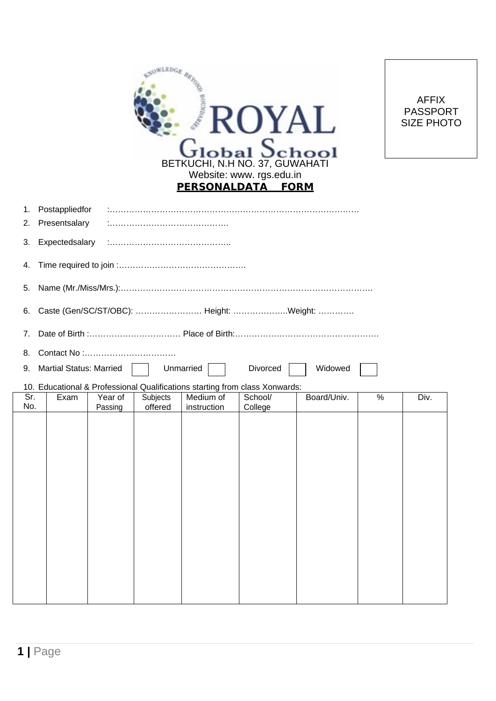| <b>SELEDGE</b><br><b>Boundary</b><br>ROYAL<br>$G$ lobal $S$ chool                                                                                        | <b>AFFIX</b><br><b>PASSPORT</b><br><b>SIZE PHOTO</b> |  |  |
|----------------------------------------------------------------------------------------------------------------------------------------------------------|------------------------------------------------------|--|--|
| BETKUCHI, N.H NO. 37, GUWAHATI<br>Website: www. rgs.edu.in<br>PERSONALDATA FORM                                                                          |                                                      |  |  |
| Postappliedfor<br>1.<br>Presentsalary<br>2.                                                                                                              |                                                      |  |  |
| Expectedsalary<br>3.                                                                                                                                     |                                                      |  |  |
| 4.                                                                                                                                                       |                                                      |  |  |
| 5.                                                                                                                                                       |                                                      |  |  |
| Caste (Gen/SC/ST/OBC):  Height: Weight:<br>6.                                                                                                            |                                                      |  |  |
| 7.                                                                                                                                                       |                                                      |  |  |
| 8.                                                                                                                                                       |                                                      |  |  |
| <b>Martial Status: Married</b><br>Unmarried<br>Divorced<br>Widowed<br>9.                                                                                 |                                                      |  |  |
| 10. Educational & Professional Qualifications starting from class Xonwards:<br>Sr.<br>Board/Univ.<br>Medium of<br>Exam<br>Year of<br>Subjects<br>School/ | %<br>Div.                                            |  |  |
| No.<br>offered<br>Passing<br>instruction<br>College                                                                                                      |                                                      |  |  |
|                                                                                                                                                          |                                                      |  |  |
|                                                                                                                                                          |                                                      |  |  |
|                                                                                                                                                          |                                                      |  |  |
|                                                                                                                                                          |                                                      |  |  |
|                                                                                                                                                          |                                                      |  |  |
|                                                                                                                                                          |                                                      |  |  |
|                                                                                                                                                          |                                                      |  |  |
|                                                                                                                                                          |                                                      |  |  |
|                                                                                                                                                          |                                                      |  |  |
|                                                                                                                                                          |                                                      |  |  |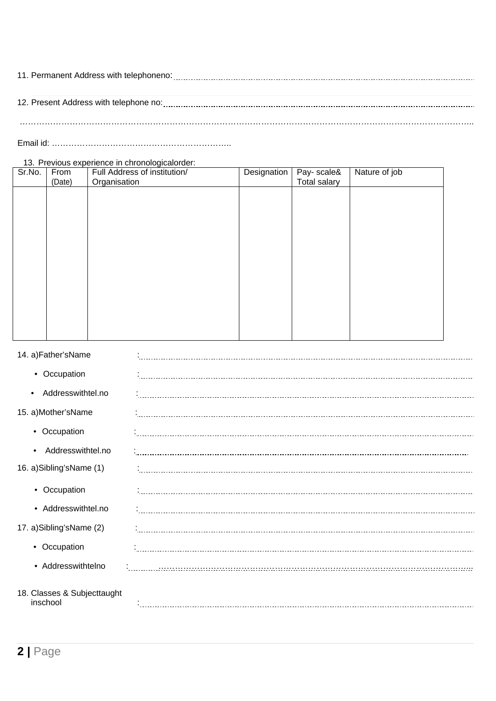| 11. Permanent Address with telephoneno: |  |  |
|-----------------------------------------|--|--|
|                                         |  |  |
|                                         |  |  |
| 12. Present Address with telephone no:  |  |  |
|                                         |  |  |
|                                         |  |  |
|                                         |  |  |

Email id: ………………………………………………………..

13. Previous experience in chronologicalorder:

| Sr.No. | From<br>(Date) | Full Address of institution/<br>Organisation | Designation | Pay- scale&<br>Total salary | Nature of job |
|--------|----------------|----------------------------------------------|-------------|-----------------------------|---------------|
|        |                |                                              |             |                             |               |
|        |                |                                              |             |                             |               |
|        |                |                                              |             |                             |               |
|        |                |                                              |             |                             |               |
|        |                |                                              |             |                             |               |
|        |                |                                              |             |                             |               |
|        |                |                                              |             |                             |               |
|        |                |                                              |             |                             |               |
|        |                |                                              |             |                             |               |

| 14. a)Father'sName                      |  |
|-----------------------------------------|--|
| • Occupation                            |  |
| Addresswithtel.no<br>$\bullet$          |  |
| 15. a)Mother'sName                      |  |
| • Occupation                            |  |
| Addresswithtel.no                       |  |
| 16. a)Sibling'sName (1)                 |  |
| • Occupation                            |  |
| • Addresswithtel.no                     |  |
| 17. a)Sibling'sName (2)                 |  |
| • Occupation                            |  |
| • Addresswithtelno                      |  |
| 18. Classes & Subjecttaught<br>inschool |  |